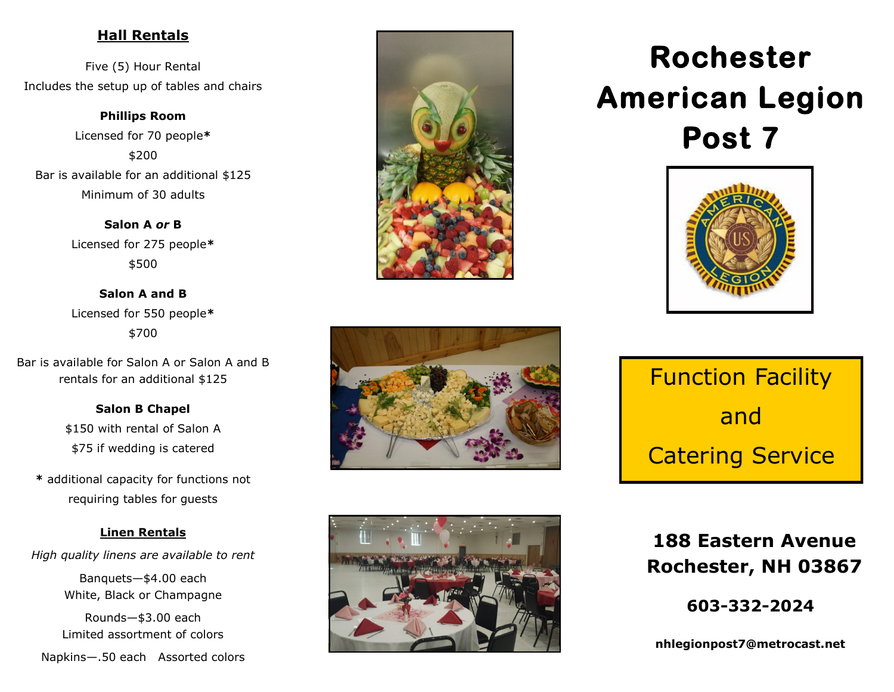## **Hall Rentals**

Five (5) Hour Rental Includes the setup up of tables and chairs

**Phillips Room** Licensed for 70 people **\*** \$200 Bar is available for an additional \$125 Minimum of 30 adults

> **Salon A** *or* **B** Licensed for 275 people **\*** \$500

**Salon A and B** Licensed for 550 people **\*** \$700

Bar is available for Salon A or Salon A and B rentals for an additional \$125

> **Salon B Chapel** \$150 with rental of Salon A \$75 if wedding is catered

**\*** additional capacity for functions not requiring tables for guests

#### **Linen Rentals**

*High quality linens are available to rent*

Banquets —\$4.00 each White, Black or Champagne

Rounds —\$3.00 each Limited assortment of colors

Napkins —.50 each Assorted colors







# **Rochester American Legion Post 7**



Function Facility and Catering Service

## **188 Eastern Avenue Rochester, NH 03867**

**603 -332 -2024**

**nhlegionpost7@metrocast.net**